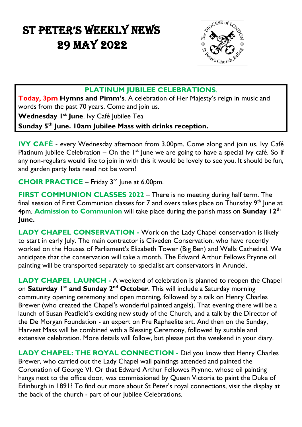# St Peter's Weekly NeWs 29 May 2022

 $\overline{\phantom{a}}$ 



### **PLATINUM JUBILEE CELEBRATIONS**.

**Today, 3pm Hymns and Pimm's**. A celebration of Her Majesty's reign in music and words from the past 70 years. Come and join us.

**Wednesday 1st June**. Ivy Café Jubilee Tea

**Sunday 5th June. 10am Jubilee Mass with drinks reception.**

**IVY CAFÉ** - every Wednesday afternoon from 3.00pm. Come along and join us. Ivy Café Platinum Jubilee Celebration – On the  $I<sup>st</sup>$  June we are going to have a special Ivy café. So if any non-regulars would like to join in with this it would be lovely to see you. It should be fun, and garden party hats need not be worn!

**CHOIR PRACTICE** – Friday 3<sup>rd</sup> June at 6.00pm.

**FIRST COMMUNION CLASSES 2022** – There is no meeting during half term. The final session of First Communion classes for 7 and overs takes place on Thursday 9<sup>th</sup> June at 4pm. **Admission to Communion** will take place during the parish mass on **Sunday 12th June.** 

**LADY CHAPEL CONSERVATION -** Work on the Lady Chapel conservation is likely to start in early July. The main contractor is Cliveden Conservation, who have recently worked on the Houses of Parliament's Elizabeth Tower (Big Ben) and Wells Cathedral. We anticipate that the conservation will take a month. The Edward Arthur Fellows Prynne oil painting will be transported separately to specialist art conservators in Arundel.

**LADY CHAPEL LAUNCH -** A weekend of celebration is planned to reopen the Chapel on **Saturday 1st and Sunday 2nd October**. This will include a Saturday morning community opening ceremony and open morning, followed by a talk on Henry Charles Brewer (who created the Chapel's wonderful painted angels). That evening there will be a launch of Susan Peatfield's exciting new study of the Church, and a talk by the Director of the De Morgan Foundation - an expert on Pre Raphaelite art. And then on the Sunday, Harvest Mass will be combined with a Blessing Ceremony, followed by suitable and extensive celebration. More details will follow, but please put the weekend in your diary.

**LADY CHAPEL: THE ROYAL CONNECTION -** Did you know that Henry Charles Brewer, who carried out the Lady Chapel wall paintings attended and painted the Coronation of George VI. Or that Edward Arthur Fellowes Prynne, whose oil painting hangs next to the office door, was commissioned by Queen Victoria to paint the Duke of Edinburgh in 1891? To find out more about St Peter's royal connections, visit the display at the back of the church - part of our Jubilee Celebrations.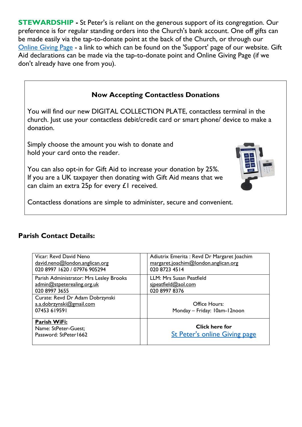**STEWARDSHIP** - St Peter's is reliant on the generous support of its congregation. Our preference is for regular standing orders into the Church's bank account. One off gifts can be made easily via the tap-to-donate point at the back of the Church, or through our [Online Giving Page](https://donate.mydona.com/st-peters-ealing) - a link to which can be found on the 'Support' page of our website. Gift Aid declarations can be made via the tap-to-donate point and Online Giving Page (if we don't already have one from you).

## **Now Accepting Contactless Donations**

You will find our new DIGITAL COLLECTION PLATE, contactless terminal in the church. Just use your contactless debit/credit card or smart phone/ device to make a donation.

Simply choose the amount you wish to donate and hold your card onto the reader.

You can also opt-in for Gift Aid to increase your donation by 25%. If you are a UK taxpayer then donating with Gift Aid means that we can claim an extra 25p for every £1 received.



Contactless donations are simple to administer, secure and convenient.

#### **Parish Contact Details:**

| Vicar: Revd David Neno                                                      | Adiutrix Emerita : Revd Dr Margaret Joachim            |
|-----------------------------------------------------------------------------|--------------------------------------------------------|
| david.neno@london.anglican.org                                              | margaret.joachim@london.anglican.org                   |
| 020 8997 1620 / 07976 905294                                                | 020 8723 4514                                          |
| Parish Administrator: Mrs Lesley Brooks                                     | LLM: Mrs Susan Peatfield                               |
| admin@stpeterealing.org.uk                                                  | sipeatfield@aol.com                                    |
| 020 8997 3655                                                               | 020 8997 8376                                          |
| Curate: Revd Dr Adam Dobrzynski<br>a.a.dobrzynski@gmail.com<br>07453 619591 | <b>Office Hours:</b><br>Monday - Friday: 10am-12noon   |
| Parish WiFi:<br>Name: StPeter-Guest;<br>Password: StPeter1662               | Click here for<br><b>St Peter's online Giving page</b> |